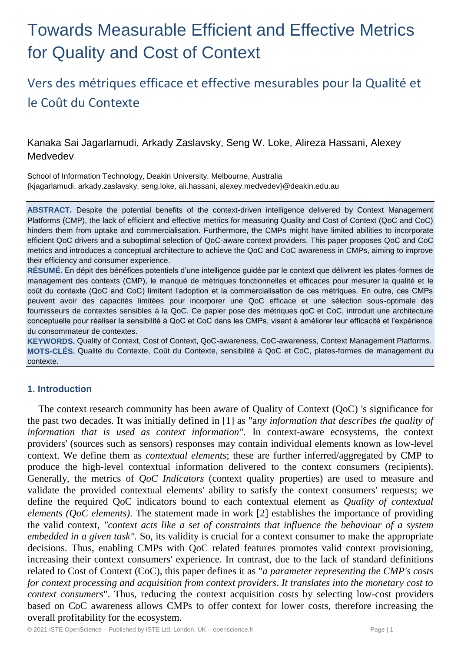# Towards Measurable Efficient and Effective Metrics for Quality and Cost of Context

# Vers des métriques efficace et effective mesurables pour la Qualité et le Coût du Contexte

Kanaka Sai Jagarlamudi, Arkady Zaslavsky, Seng W. Loke, Alireza Hassani, Alexey Medvedev

School of Information Technology, Deakin University, Melbourne, Australia {kjagarlamudi, arkady.zaslavsky, seng.loke, ali.hassani, alexey.medvedev}@deakin.edu.au

**ABSTRACT.** Despite the potential benefits of the context-driven intelligence delivered by Context Management Platforms (CMP), the lack of efficient and effective metrics for measuring Quality and Cost of Context (QoC and CoC) hinders them from uptake and commercialisation. Furthermore, the CMPs might have limited abilities to incorporate efficient QoC drivers and a suboptimal selection of QoC-aware context providers. This paper proposes QoC and CoC metrics and introduces a conceptual architecture to achieve the QoC and CoC awareness in CMPs, aiming to improve their efficiency and consumer experience.

**RÉSUMÉ.** En dépit des bénéfices potentiels d'une intelligence guidée par le context que délivrent les plates-formes de management des contexts (CMP), le manqué de métriques fonctionnelles et efficaces pour mesurer la qualité et le coût du contexte (QoC and CoC) limitent l'adoption et la commercialisation de ces métriques. En outre, ces CMPs peuvent avoir des capacités limitées pour incorporer une QoC efficace et une sélection sous-optimale des fournisseurs de contextes sensibles à la QoC. Ce papier pose des métriques qoC et CoC, introduit une architecture conceptuelle pour réaliser la sensibilité à QoC et CoC dans les CMPs, visant à améliorer leur efficacité et l'expérience du consommateur de contextes.

**KEYWORDS.** Quality of Context, Cost of Context, QoC-awareness, CoC-awareness, Context Management Platforms. **MOTS-CLÉS.** Qualité du Contexte, Coût du Contexte, sensibilité à QoC et CoC, plates-formes de management du contexte.

### **1. Introduction**

The context research community has been aware of Quality of Context (QoC) 's significance for the past two decades. It was initially defined in [1] as "a*ny information that describes the quality of information that is used as context information".* In context-aware ecosystems, the context providers' (sources such as sensors) responses may contain individual elements known as low-level context. We define them as *contextual elements*; these are further inferred/aggregated by CMP to produce the high-level contextual information delivered to the context consumers (recipients). Generally, the metrics of *QoC Indicators* (context quality properties) are used to measure and validate the provided contextual elements' ability to satisfy the context consumers' requests; we define the required QoC indicators bound to each contextual element as *Quality of contextual elements (QoC elements)*. The statement made in work [2] establishes the importance of providing the valid context, *"context acts like a set of constraints that influence the behaviour of a system embedded in a given task".* So, its validity is crucial for a context consumer to make the appropriate decisions. Thus, enabling CMPs with QoC related features promotes valid context provisioning, increasing their context consumers' experience. In contrast, due to the lack of standard definitions related to Cost of Context (CoC), this paper defines it as "*a parameter representing the CMP's costs for context processing and acquisition from context providers. It translates into the monetary cost to context consumers*". Thus, reducing the context acquisition costs by selecting low-cost providers based on CoC awareness allows CMPs to offer context for lower costs, therefore increasing the overall profitability for the ecosystem.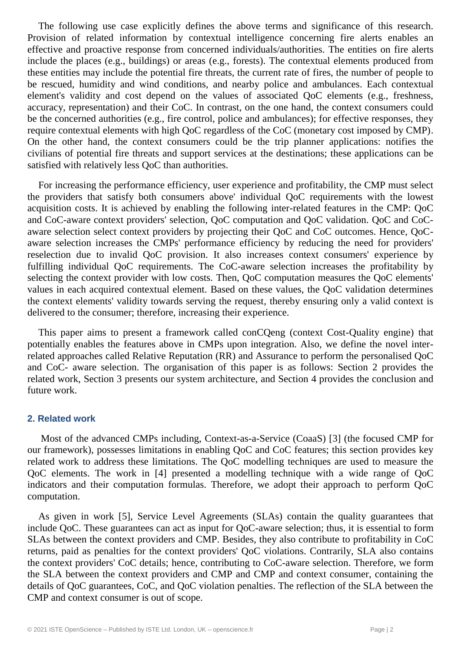The following use case explicitly defines the above terms and significance of this research. Provision of related information by contextual intelligence concerning fire alerts enables an effective and proactive response from concerned individuals/authorities. The entities on fire alerts include the places (e.g., buildings) or areas (e.g., forests). The contextual elements produced from these entities may include the potential fire threats, the current rate of fires, the number of people to be rescued, humidity and wind conditions, and nearby police and ambulances. Each contextual element's validity and cost depend on the values of associated QoC elements (e.g., freshness, accuracy, representation) and their CoC. In contrast, on the one hand, the context consumers could be the concerned authorities (e.g., fire control, police and ambulances); for effective responses, they require contextual elements with high QoC regardless of the CoC (monetary cost imposed by CMP). On the other hand, the context consumers could be the trip planner applications: notifies the civilians of potential fire threats and support services at the destinations; these applications can be satisfied with relatively less QoC than authorities.

For increasing the performance efficiency, user experience and profitability, the CMP must select the providers that satisfy both consumers above' individual QoC requirements with the lowest acquisition costs. It is achieved by enabling the following inter-related features in the CMP: QoC and CoC-aware context providers' selection, QoC computation and QoC validation. QoC and CoCaware selection select context providers by projecting their QoC and CoC outcomes. Hence, QoCaware selection increases the CMPs' performance efficiency by reducing the need for providers' reselection due to invalid QoC provision. It also increases context consumers' experience by fulfilling individual QoC requirements. The CoC-aware selection increases the profitability by selecting the context provider with low costs. Then, QoC computation measures the QoC elements' values in each acquired contextual element. Based on these values, the QoC validation determines the context elements' validity towards serving the request, thereby ensuring only a valid context is delivered to the consumer; therefore, increasing their experience.

This paper aims to present a framework called conCQeng (context Cost-Quality engine) that potentially enables the features above in CMPs upon integration. Also, we define the novel interrelated approaches called Relative Reputation (RR) and Assurance to perform the personalised QoC and CoC- aware selection. The organisation of this paper is as follows: Section 2 provides the related work, Section 3 presents our system architecture, and Section 4 provides the conclusion and future work.

#### **2. Related work**

Most of the advanced CMPs including, Context-as-a-Service (CoaaS) [3] (the focused CMP for our framework), possesses limitations in enabling QoC and CoC features; this section provides key related work to address these limitations. The QoC modelling techniques are used to measure the QoC elements. The work in [4] presented a modelling technique with a wide range of QoC indicators and their computation formulas. Therefore, we adopt their approach to perform QoC computation.

As given in work [5], Service Level Agreements (SLAs) contain the quality guarantees that include QoC. These guarantees can act as input for QoC-aware selection; thus, it is essential to form SLAs between the context providers and CMP. Besides, they also contribute to profitability in CoC returns, paid as penalties for the context providers' QoC violations. Contrarily, SLA also contains the context providers' CoC details; hence, contributing to CoC-aware selection. Therefore, we form the SLA between the context providers and CMP and CMP and context consumer, containing the details of QoC guarantees, CoC, and QoC violation penalties. The reflection of the SLA between the CMP and context consumer is out of scope.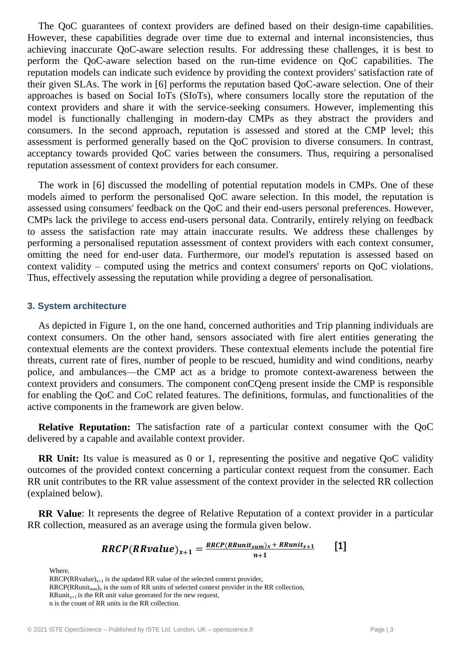The QoC guarantees of context providers are defined based on their design-time capabilities. However, these capabilities degrade over time due to external and internal inconsistencies, thus achieving inaccurate QoC-aware selection results. For addressing these challenges, it is best to perform the QoC-aware selection based on the run-time evidence on QoC capabilities. The reputation models can indicate such evidence by providing the context providers' satisfaction rate of their given SLAs. The work in [6] performs the reputation based QoC-aware selection. One of their approaches is based on Social IoTs (SIoTs), where consumers locally store the reputation of the context providers and share it with the service-seeking consumers. However, implementing this model is functionally challenging in modern-day CMPs as they abstract the providers and consumers. In the second approach, reputation is assessed and stored at the CMP level; this assessment is performed generally based on the QoC provision to diverse consumers. In contrast, acceptancy towards provided QoC varies between the consumers. Thus, requiring a personalised reputation assessment of context providers for each consumer.

The work in [6] discussed the modelling of potential reputation models in CMPs. One of these models aimed to perform the personalised QoC aware selection. In this model, the reputation is assessed using consumers' feedback on the QoC and their end-users personal preferences. However, CMPs lack the privilege to access end-users personal data. Contrarily, entirely relying on feedback to assess the satisfaction rate may attain inaccurate results. We address these challenges by performing a personalised reputation assessment of context providers with each context consumer, omitting the need for end-user data. Furthermore, our model's reputation is assessed based on context validity – computed using the metrics and context consumers' reports on QoC violations. Thus, effectively assessing the reputation while providing a degree of personalisation.

#### **3. System architecture**

As depicted in Figure 1, on the one hand, concerned authorities and Trip planning individuals are context consumers. On the other hand, sensors associated with fire alert entities generating the contextual elements are the context providers. These contextual elements include the potential fire threats, current rate of fires, number of people to be rescued, humidity and wind conditions, nearby police, and ambulances—the CMP act as a bridge to promote context-awareness between the context providers and consumers. The component conCQeng present inside the CMP is responsible for enabling the QoC and CoC related features. The definitions, formulas, and functionalities of the active components in the framework are given below.

**Relative Reputation:** The satisfaction rate of a particular context consumer with the QoC delivered by a capable and available context provider.

**RR Unit:** Its value is measured as 0 or 1, representing the positive and negative QoC validity outcomes of the provided context concerning a particular context request from the consumer. Each RR unit contributes to the RR value assessment of the context provider in the selected RR collection (explained below).

**RR Value**: It represents the degree of Relative Reputation of a context provider in a particular RR collection, measured as an average using the formula given below.

$$
RRCP(RRvalue)_{x+1} = \frac{RRCP(RRunit_{sum})_x + RRunit_{x+1}}{n+1}
$$
 [1]

Where,

 $RRCP(RRvalue)_{x+1}$  is the updated RR value of the selected context provider,  $RRCP(RRunit_{sum})_x$  is the sum of RR units of selected context provider in the RR collection, RRunit<sub>x+1</sub> is the RR unit value generated for the new request, n is the count of RR units in the RR collection.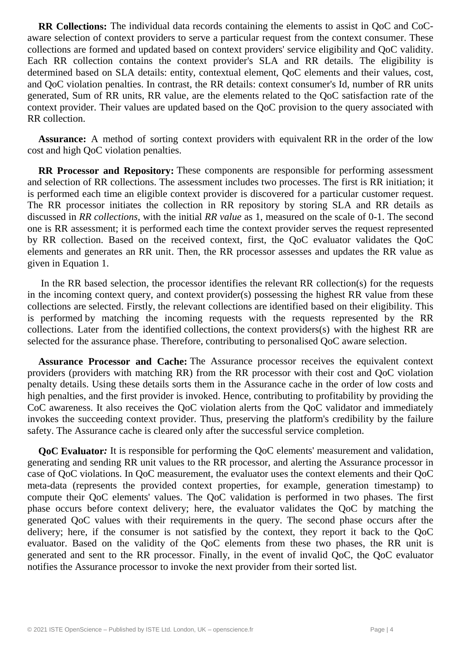**RR Collections:** The individual data records containing the elements to assist in QoC and CoCaware selection of context providers to serve a particular request from the context consumer. These collections are formed and updated based on context providers' service eligibility and QoC validity. Each RR collection contains the context provider's SLA and RR details. The eligibility is determined based on SLA details: entity, contextual element, QoC elements and their values, cost, and QoC violation penalties. In contrast, the RR details: context consumer's Id, number of RR units generated, Sum of RR units, RR value, are the elements related to the QoC satisfaction rate of the context provider. Their values are updated based on the QoC provision to the query associated with RR collection.

**Assurance:** A method of sorting context providers with equivalent RR in the order of the low cost and high QoC violation penalties.

**RR Processor and Repository:** These components are responsible for performing assessment and selection of RR collections. The assessment includes two processes. The first is RR initiation; it is performed each time an eligible context provider is discovered for a particular customer request. The RR processor initiates the collection in RR repository by storing SLA and RR details as discussed in *RR collections*, with the initial *RR value* as 1, measured on the scale of 0-1. The second one is RR assessment; it is performed each time the context provider serves the request represented by RR collection. Based on the received context, first, the QoC evaluator validates the QoC elements and generates an RR unit. Then, the RR processor assesses and updates the RR value as given in Equation 1.

In the RR based selection, the processor identifies the relevant RR collection(s) for the requests in the incoming context query, and context provider(s) possessing the highest RR value from these collections are selected. Firstly, the relevant collections are identified based on their eligibility. This is performed by matching the incoming requests with the requests represented by the RR collections. Later from the identified collections, the context providers(s) with the highest RR are selected for the assurance phase. Therefore, contributing to personalised QoC aware selection.

**Assurance Processor and Cache:** The Assurance processor receives the equivalent context providers (providers with matching RR) from the RR processor with their cost and QoC violation penalty details. Using these details sorts them in the Assurance cache in the order of low costs and high penalties, and the first provider is invoked. Hence, contributing to profitability by providing the CoC awareness. It also receives the QoC violation alerts from the QoC validator and immediately invokes the succeeding context provider. Thus, preserving the platform's credibility by the failure safety. The Assurance cache is cleared only after the successful service completion.

**QoC Evaluator***:* It is responsible for performing the QoC elements' measurement and validation, generating and sending RR unit values to the RR processor, and alerting the Assurance processor in case of QoC violations. In QoC measurement, the evaluator uses the context elements and their QoC meta-data (represents the provided context properties, for example, generation timestamp) to compute their QoC elements' values. The QoC validation is performed in two phases. The first phase occurs before context delivery; here, the evaluator validates the QoC by matching the generated QoC values with their requirements in the query. The second phase occurs after the delivery; here, if the consumer is not satisfied by the context, they report it back to the QoC evaluator. Based on the validity of the QoC elements from these two phases, the RR unit is generated and sent to the RR processor. Finally, in the event of invalid QoC, the QoC evaluator notifies the Assurance processor to invoke the next provider from their sorted list.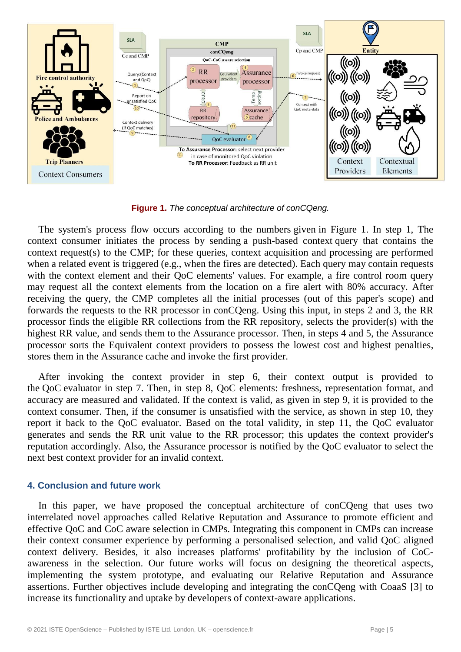

**Figure 1.** *The conceptual architecture of conCQeng.*

The system's process flow occurs according to the numbers given in Figure 1. In step 1, The context consumer initiates the process by sending a push-based context query that contains the context request(s) to the CMP; for these queries, context acquisition and processing are performed when a related event is triggered (e.g., when the fires are detected). Each query may contain requests with the context element and their OoC elements' values. For example, a fire control room query may request all the context elements from the location on a fire alert with 80% accuracy. After receiving the query, the CMP completes all the initial processes (out of this paper's scope) and forwards the requests to the RR processor in conCQeng. Using this input, in steps 2 and 3, the RR processor finds the eligible RR collections from the RR repository, selects the provider(s) with the highest RR value, and sends them to the Assurance processor. Then, in steps 4 and 5, the Assurance processor sorts the Equivalent context providers to possess the lowest cost and highest penalties, stores them in the Assurance cache and invoke the first provider.

After invoking the context provider in step 6, their context output is provided to the QoC evaluator in step 7. Then, in step 8, QoC elements: freshness, representation format, and accuracy are measured and validated. If the context is valid, as given in step 9, it is provided to the context consumer. Then, if the consumer is unsatisfied with the service, as shown in step 10, they report it back to the QoC evaluator. Based on the total validity, in step 11, the QoC evaluator generates and sends the RR unit value to the RR processor; this updates the context provider's reputation accordingly. Also, the Assurance processor is notified by the QoC evaluator to select the next best context provider for an invalid context.

#### **4. Conclusion and future work**

In this paper, we have proposed the conceptual architecture of conCQeng that uses two interrelated novel approaches called Relative Reputation and Assurance to promote efficient and effective QoC and CoC aware selection in CMPs. Integrating this component in CMPs can increase their context consumer experience by performing a personalised selection, and valid QoC aligned context delivery. Besides, it also increases platforms' profitability by the inclusion of CoCawareness in the selection. Our future works will focus on designing the theoretical aspects, implementing the system prototype, and evaluating our Relative Reputation and Assurance assertions. Further objectives include developing and integrating the conCQeng with CoaaS [3] to increase its functionality and uptake by developers of context-aware applications.